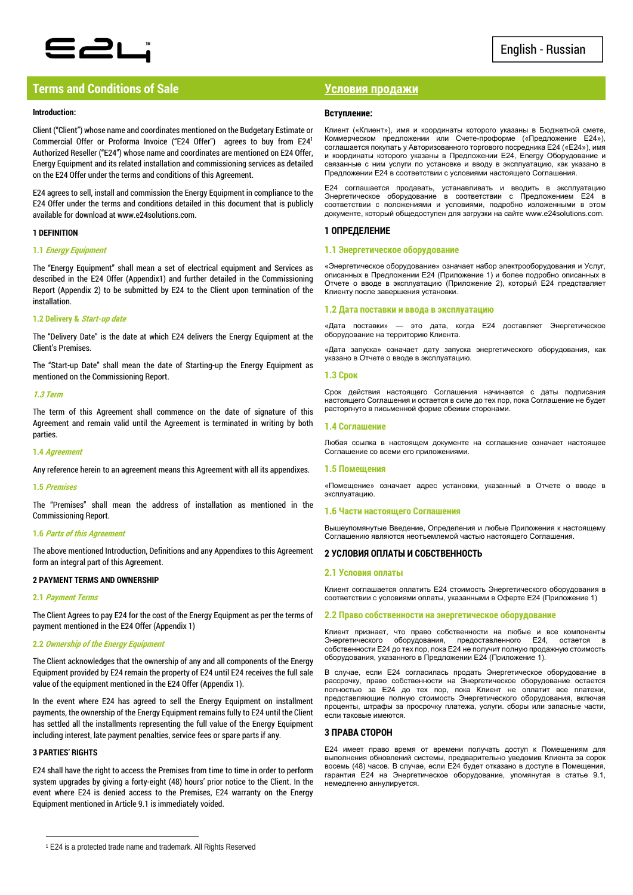

## **Terms and Conditions of Sale Условия продажи**

### **Introduction:**

Client ("Client") whose name and coordinates mentioned on the Budgetary Estimate or Commercial Offer or Proforma Invoice ("E24 Offer") agrees to buy from E24<sup>1</sup> Authorized Reseller ("E24") whose name and coordinates are mentioned on E24 Offer, Energy Equipment and its related installation and commissioning services as detailed on the E24 Offer under the terms and conditions of this Agreement.

E24 agrees to sell, install and commission the Energy Equipment in compliance to the E24 Offer under the terms and conditions detailed in this document that is publicly available for download at www.e24solutions.com.

## **1 DEFINITION**

## **1.1 Energy Equipment**

The "Energy Equipment" shall mean a set of electrical equipment and Services as described in the E24 Offer (Appendix1) and further detailed in the Commissioning Report (Appendix 2) to be submitted by E24 to the Client upon termination of the installation.

## **1.2 Delivery & Start-up date**

The "Delivery Date" is the date at which E24 delivers the Energy Equipment at the Client's Premises.

The "Start-up Date" shall mean the date of Starting-up the Energy Equipment as mentioned on the Commissioning Report.

#### **1.3 Term**

The term of this Agreement shall commence on the date of signature of this Agreement and remain valid until the Agreement is terminated in writing by both parties.

#### **1.4 Agreement**

Any reference herein to an agreement means this Agreement with all its appendixes.

#### **1.5 Premises**

The "Premises" shall mean the address of installation as mentioned in the Commissioning Report.

## **1.6 Parts of this Agreement**

The above mentioned Introduction, Definitions and any Appendixes to this Agreement form an integral part of this Agreement.

## **2 PAYMENT TERMS AND OWNERSHIP**

## **2.1 Payment Terms**

The Client Agrees to pay E24 for the cost of the Energy Equipment as per the terms of payment mentioned in the E24 Offer (Appendix 1)

## **2.2 Ownership of the Energy Equipment**

The Client acknowledges that the ownership of any and all components of the Energy Equipment provided by E24 remain the property of E24 until E24 receives the full sale value of the equipment mentioned in the E24 Offer (Appendix 1).

In the event where E24 has agreed to sell the Energy Equipment on installment payments, the ownership of the Energy Equipment remains fully to E24 until the Client has settled all the installments representing the full value of the Energy Equipment including interest, late payment penalties, service fees or spare parts if any.

## **3 PARTIES' RIGHTS**

 $\overline{a}$ 

E24 shall have the right to access the Premises from time to time in order to perform system upgrades by giving a forty-eight (48) hours' prior notice to the Client. In the event where E24 is denied access to the Premises, E24 warranty on the Energy Equipment mentioned in Article 9.1 is immediately voided.

## **Вступление:**

Клиент («Клиент»), имя и координаты которого указаны в Бюджетной смете, Коммерческом предложении или Счете-проформе («Предложение E24»), соглашается покупать у Авторизованного торгового посредника E24 («E24»), имя и координаты которого указаны в Предложении E24, Energy Оборудование и связанные с ним услуги по установке и вводу в эксплуатацию, как указано в Предложении E24 в соответствии с условиями настоящего Соглашения.

E24 соглашается продавать, устанавливать и вводить в эксплуатацию Энергетическое оборудование в соответствии с Предложением E24 в соответствии с положениями и условиями, подробно изложенными в этом документе, который общедоступен для загрузки на сайте www.e24solutions.com.

## **1 ОПРЕДЕЛЕНИЕ**

## **1.1 Энергетическое оборудование**

«Энергетическое оборудование» означает набор электрооборудования и Услуг, описанных в Предложении E24 (Приложение 1) и более подробно описанных в Отчете о вводе в эксплуатацию (Приложение 2), который E24 представляет Клиенту после завершения установки.

#### **1.2 Дата поставки и ввода в эксплуатацию**

«Лата поставки» — это дата, когда E24 доставляет Энергетическое оборудование на территорию Клиента.

«Дата запуска» означает дату запуска энергетического оборудования, как указано в Отчете о вводе в эксплуатацию.

#### **1.3 Срок**

Срок действия настоящего Соглашения начинается с даты подписания настоящего Соглашения и остается в силе до тех пор, пока Соглашение не будет расторгнуто в письменной форме обеими сторонами.

### **1.4 Соглашение**

Любая ссылка в настоящем документе на соглашение означает настоящее Соглашение со всеми его приложениями.

## **1.5 Помещения**

«Помещение» означает адрес установки, указанный в Отчете о вводе в эксплуатацию.

#### **1.6 Части настоящего Соглашения**

Вышеупомянутые Введение, Определения и любые Приложения к настоящему Соглашению являются неотъемлемой частью настоящего Соглашения.

## **2 УСЛОВИЯ ОПЛАТЫ И СОБСТВЕННОСТЬ**

## **2.1 Условия оплаты**

Клиент соглашается оплатить E24 стоимость Энергетического оборудования в соответствии с условиями оплаты, указанными в Оферте E24 (Приложение 1)

## **2.2 Право собственности на энергетическое оборудование**

Клиент признает, что право собственности на любые и все компоненты Энергетического оборудования, предоставленного E24, остается собственности E24 до тех пор, пока E24 не получит полную продажную стоимость оборудования, указанного в Предложении E24 (Приложение 1).

В случае, если E24 согласилась продать Энергетическое оборудование в рассрочку, право собственности на Энергетическое оборудование остается полностью за E24 до тех пор, пока Клиент не оплатит все платежи, представляющие полную стоимость Энергетического оборудования, включая проценты, штрафы за просрочку платежа, услуги. сборы или запасные части, если таковые имеются.

## **3 ПРАВА СТОРОН**

E24 имеет право время от времени получать доступ к Помещениям для выполнения обновлений системы, предварительно уведомив Клиента за сорок восемь (48) часов. В случае, если E24 будет отказано в доступе в Помещения, гарантия E24 на Энергетическое оборудование, упомянутая в статье 9.1, немедленно аннулируется.

<sup>1</sup> E24 is a protected trade name and trademark. All Rights Reserved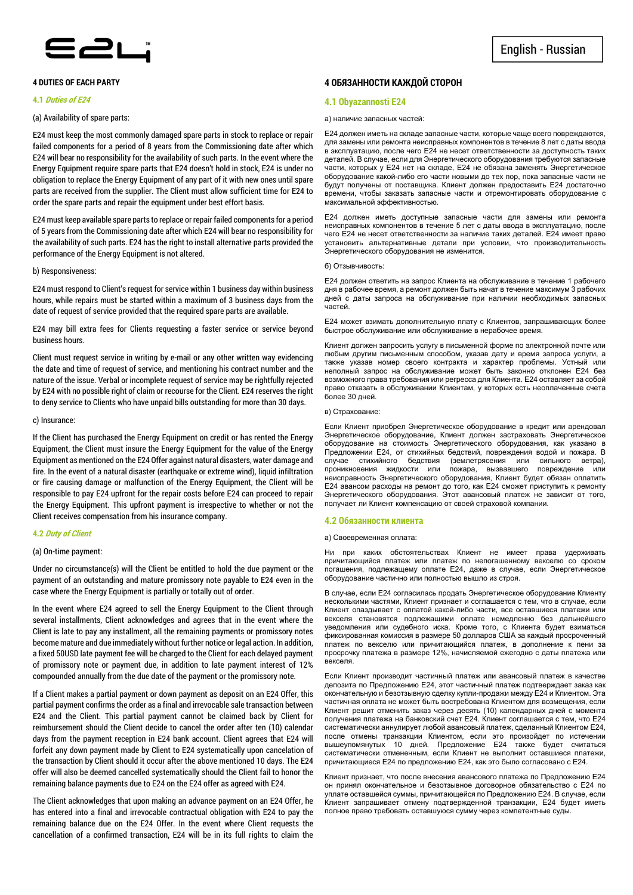

## **4 DUTIES OF EACH PARTY**

#### **4.1 Duties of E24**

### (a) Availability of spare parts:

E24 must keep the most commonly damaged spare parts in stock to replace or repair failed components for a period of 8 years from the Commissioning date after which E24 will bear no responsibility for the availability of such parts. In the event where the Energy Equipment require spare parts that E24 doesn't hold in stock, E24 is under no obligation to replace the Energy Equipment of any part of it with new ones until spare parts are received from the supplier. The Client must allow sufficient time for E24 to order the spare parts and repair the equipment under best effort basis.

E24 must keep available spare parts to replace or repair failed components for a period of 5 years from the Commissioning date after which E24 will bear no responsibility for the availability of such parts. E24 has the right to install alternative parts provided the performance of the Energy Equipment is not altered.

#### b) Responsiveness:

E24 must respond to Client's request for service within 1 business day within business hours, while repairs must be started within a maximum of 3 business days from the date of request of service provided that the required spare parts are available.

E24 may bill extra fees for Clients requesting a faster service or service beyond business hours.

Client must request service in writing by e-mail or any other written way evidencing the date and time of request of service, and mentioning his contract number and the nature of the issue. Verbal or incomplete request of service may be rightfully rejected by E24 with no possible right of claim or recourse for the Client. E24 reserves the right to deny service to Clients who have unpaid bills outstanding for more than 30 days.

#### c) Insurance:

If the Client has purchased the Energy Equipment on credit or has rented the Energy Equipment, the Client must insure the Energy Equipment for the value of the Energy Equipment as mentioned on the E24 Offer against natural disasters, water damage and fire. In the event of a natural disaster (earthquake or extreme wind), liquid infiltration or fire causing damage or malfunction of the Energy Equipment, the Client will be responsible to pay E24 upfront for the repair costs before E24 can proceed to repair the Energy Equipment. This upfront payment is irrespective to whether or not the Client receives compensation from his insurance company.

#### **4.2 Duty of Client**

#### (a) On-time payment:

Under no circumstance(s) will the Client be entitled to hold the due payment or the payment of an outstanding and mature promissory note payable to E24 even in the case where the Energy Equipment is partially or totally out of order.

In the event where E24 agreed to sell the Energy Equipment to the Client through several installments, Client acknowledges and agrees that in the event where the Client is late to pay any installment, all the remaining payments or promissory notes become mature and due immediately without further notice or legal action. In addition, a fixed 50USD late payment fee will be charged to the Client for each delayed payment of promissory note or payment due, in addition to late payment interest of 12% compounded annually from the due date of the payment or the promissory note.

If a Client makes a partial payment or down payment as deposit on an E24 Offer, this partial payment confirms the order as a final and irrevocable sale transaction between E24 and the Client. This partial payment cannot be claimed back by Client for reimbursement should the Client decide to cancel the order after ten (10) calendar days from the payment reception in E24 bank account. Client agrees that E24 will forfeit any down payment made by Client to E24 systematically upon cancelation of the transaction by Client should it occur after the above mentioned 10 days. The E24 offer will also be deemed cancelled systematically should the Client fail to honor the remaining balance payments due to E24 on the E24 offer as agreed with E24.

The Client acknowledges that upon making an advance payment on an E24 Offer, he has entered into a final and irrevocable contractual obligation with E24 to pay the remaining balance due on the E24 Offer. In the event where Client requests the cancellation of a confirmed transaction, E24 will be in its full rights to claim the

## **4 ОБЯЗАННОСТИ КАЖДОЙ СТОРОН**

#### **4.1 Obyazannosti E24**

#### а) наличие запасных частей:

E24 должен иметь на складе запасные части, которые чаще всего повреждаются, для замены или ремонта неисправных компонентов в течение 8 лет с даты ввода в эксплуатацию, после чего E24 не несет ответственности за доступность таких деталей. В случае, если для Энергетического оборудования требуются запасные части, которых у E24 нет на складе, E24 не обязана заменять Энергетическое оборудование какой-либо его части новыми до тех пор, пока запасные части не будут получены от поставщика. Клиент должен предоставить E24 достаточно времени, чтобы заказать запасные части и отремонтировать оборудование с максимальной эффективностью.

E24 должен иметь доступные запасные части для замены или ремонта неисправных компонентов в течение 5 лет с даты ввода в эксплуатацию, после чего E24 не несет ответственности за наличие таких деталей. E24 имеет право установить альтернативные детали при условии, что производительность Энергетического оборудования не изменится.

#### б) Отзывчивость:

E24 должен ответить на запрос Клиента на обслуживание в течение 1 рабочего дня в рабочее время, а ремонт должен быть начат в течение максимум 3 рабочих дней с даты запроса на обслуживание при наличии необходимых запасных частей.

E24 может взимать дополнительную плату с Клиентов, запрашивающих более быстрое обслуживание или обслуживание в нерабочее время.

Клиент должен запросить услугу в письменной форме по электронной почте или любым другим письменным способом, указав дату и время запроса услуги, а также указав номер своего контракта и характер проблемы. Устный или неполный запрос на обслуживание может быть законно отклонен E24 без возможного права требования или регресса для Клиента. E24 оставляет за собой право отказать в обслуживании Клиентам, у которых есть неоплаченные счета более 30 дней.

#### в) Страхование:

Если Клиент приобрел Энергетическое оборудование в кредит или арендовал Энергетическое оборудование, Клиент должен застраховать Энергетическое оборудование на стоимость Энергетического оборудования, как указано в Предложении E24, от стихийных бедствий, повреждения водой и пожара. В случае стихийного бедствия (землетрясения или сильного ветра), проникновения жидкости или пожара, вызвавшего повреждение или неисправность Энергетического оборудования, Клиент будет обязан оплатить E24 авансом расходы на ремонт до того, как E24 сможет приступить к ремонту Энергетического оборудования. Этот авансовый платеж не зависит от того, получает ли Клиент компенсацию от своей страховой компании.

#### **4.2 Обязанности клиента**

#### а) Своевременная оплата:

Ни при каких обстоятельствах Клиент не имеет права удерживать причитающийся платеж или платеж по непогашенному векселю со сроком погашения, подлежащему оплате E24, даже в случае, если Энергетическое оборудование частично или полностью вышло из строя.

В случае, если E24 согласилась продать Энергетическое оборудование Клиенту несколькими частями, Клиент признает и соглашается с тем, что в случае, если Клиент опаздывает с оплатой какой-либо части, все оставшиеся платежи или векселя становятся подлежащими оплате немедленно без дальнейшего уведомления или судебного иска. Кроме того, с Клиента будет взиматься фиксированная комиссия в размере 50 долларов США за каждый просроченный платеж по векселю или причитающийся платеж, в дополнение к пени за просрочку платежа в размере 12%, начисляемой ежегодно с даты платежа или векселя.

Если Клиент производит частичный платеж или авансовый платеж в качестве депозита по Предложению E24, этот частичный платеж подтверждает заказ как окончательную и безотзывную сделку купли-продажи между E24 и Клиентом. Эта частичная оплата не может быть востребована Клиентом для возмещения, если Клиент решит отменить заказ через десять (10) календарных дней с момента получения платежа на банковский счет E24. Клиент соглашается с тем, что E24 систематически аннулирует любой авансовый платеж, сделанный Клиентом E24, после отмены транзакции Клиентом, если это произойдет по истечении вышеупомянутых 10 дней. Предложение E24 также будет считаться систематически отмененным, если Клиент не выполнит оставшиеся платежи, причитающиеся E24 по предложению E24, как это было согласовано с E24.

Клиент признает, что после внесения авансового платежа по Предложению E24 он принял окончательное и безотзывное договорное обязательство с E24 по уплате оставшейся суммы, причитающейся по Предложению E24. В случае, если Клиент запрашивает отмену подтвержденной транзакции, E24 будет иметь полное право требовать оставшуюся сумму через компетентные суды.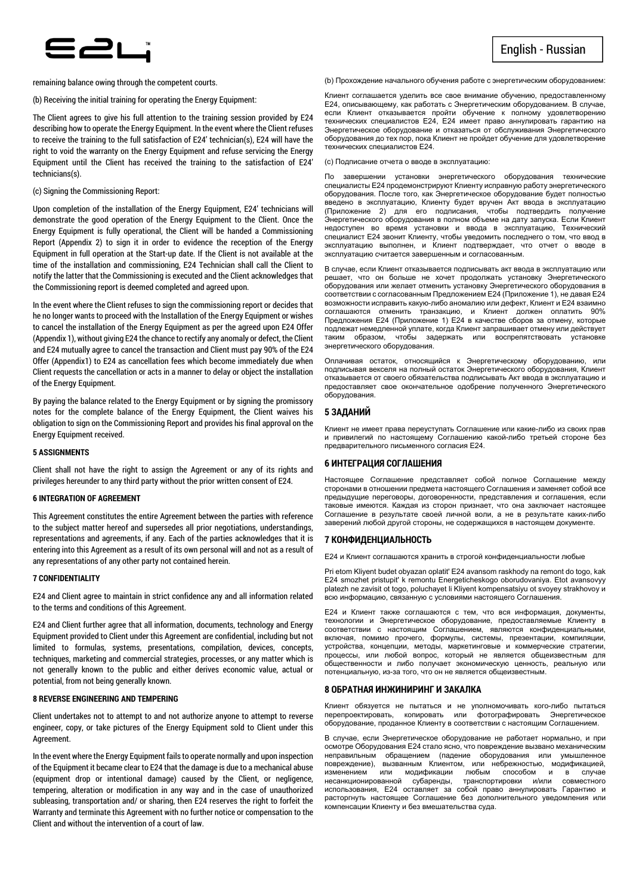

remaining balance owing through the competent courts.

(b) Receiving the initial training for operating the Energy Equipment:

The Client agrees to give his full attention to the training session provided by E24 describing how to operate the Energy Equipment. In the event where the Client refuses to receive the training to the full satisfaction of E24' technician(s), E24 will have the right to void the warranty on the Energy Equipment and refuse servicing the Energy Equipment until the Client has received the training to the satisfaction of E24' technicians(s).

## (c) Signing the Commissioning Report:

Upon completion of the installation of the Energy Equipment, E24' technicians will demonstrate the good operation of the Energy Equipment to the Client. Once the Energy Equipment is fully operational, the Client will be handed a Commissioning Report (Appendix 2) to sign it in order to evidence the reception of the Energy Equipment in full operation at the Start-up date. If the Client is not available at the time of the installation and commissioning, E24 Technician shall call the Client to notify the latter that the Commissioning is executed and the Client acknowledges that the Commissioning report is deemed completed and agreed upon.

In the event where the Client refuses to sign the commissioning report or decides that he no longer wants to proceed with the Installation of the Energy Equipment or wishes to cancel the installation of the Energy Equipment as per the agreed upon E24 Offer (Appendix 1), without giving E24 the chance to rectify any anomaly or defect, the Client and E24 mutually agree to cancel the transaction and Client must pay 90% of the E24 Offer (Appendix1) to E24 as cancellation fees which become immediately due when Client requests the cancellation or acts in a manner to delay or object the installation of the Energy Equipment.

By paying the balance related to the Energy Equipment or by signing the promissory notes for the complete balance of the Energy Equipment, the Client waives his obligation to sign on the Commissioning Report and provides his final approval on the Energy Equipment received.

#### **5 ASSIGNMENTS**

Client shall not have the right to assign the Agreement or any of its rights and privileges hereunder to any third party without the prior written consent of E24.

#### **6 INTEGRATION OF AGREEMENT**

This Agreement constitutes the entire Agreement between the parties with reference to the subject matter hereof and supersedes all prior negotiations, understandings, representations and agreements, if any. Each of the parties acknowledges that it is entering into this Agreement as a result of its own personal will and not as a result of any representations of any other party not contained herein.

#### **7 CONFIDENTIALITY**

E24 and Client agree to maintain in strict confidence any and all information related to the terms and conditions of this Agreement.

E24 and Client further agree that all information, documents, technology and Energy Equipment provided to Client under this Agreement are confidential, including but not limited to formulas, systems, presentations, compilation, devices, concepts, techniques, marketing and commercial strategies, processes, or any matter which is not generally known to the public and either derives economic value, actual or potential, from not being generally known.

#### **8 REVERSE ENGINEERING AND TEMPERING**

Client undertakes not to attempt to and not authorize anyone to attempt to reverse engineer, copy, or take pictures of the Energy Equipment sold to Client under this Agreement.

In the event where the Energy Equipment fails to operate normally and upon inspection of the Equipment it became clear to E24 that the damage is due to a mechanical abuse (equipment drop or intentional damage) caused by the Client, or negligence, tempering, alteration or modification in any way and in the case of unauthorized subleasing, transportation and/ or sharing, then E24 reserves the right to forfeit the Warranty and terminate this Agreement with no further notice or compensation to the Client and without the intervention of a court of law.

#### (b) Прохождение начального обучения работе с энергетическим оборудованием:

Клиент соглашается уделить все свое внимание обучению, предоставленному E24, описывающему, как работать с Энергетическим оборудованием. В случае, если Клиент отказывается пройти обучение к полному удовлетворению технических специалистов E24, E24 имеет право аннулировать гарантию на Энергетическое оборудование и отказаться от обслуживания Энергетического оборудования до тех пор, пока Клиент не пройдет обучение для удовлетворение технических специалистов E24.

(c) Подписание отчета о вводе в эксплуатацию:

По завершении установки энергетического оборудования технические специалисты Е24 продемонстрируют Клиенту исправную работу энергетического оборудования. После того, как Энергетическое оборудование будет полностью введено в эксплуатацию, Клиенту будет вручен Акт ввода в эксплуатацию<br>(Приложение 2) для его подписания, чтобы подтвердить получение (Приложение 2) для его подписания, чтобы подтвердить получение Энергетического оборудования в полном объеме на дату запуска. Если Клиент недоступен во время установки и ввода в эксплуатацию, Технический специалист E24 звонит Клиенту, чтобы уведомить последнего о том, что ввод в эксплуатацию выполнен, и Клиент подтверждает, что отчет о вводе в эксплуатацию считается завершенным и согласованным.

В случае, если Клиент отказывается подписывать акт ввода в эксплуатацию или решает, что он больше не хочет продолжать установку Энергетического оборудования или желает отменить установку Энергетического оборудования в соответствии с согласованным Предложением E24 (Приложение 1), не давая E24 возможности исправить какую-либо аномалию или дефект, Клиент и E24 взаимно соглашаются отменить транзакцию, и Клиент должен оплатить 90% Предложения E24 (Приложение 1) E24 в качестве сборов за отмену, которые подлежат немедленной уплате, когда Клиент запрашивает отмену или действует таким образом, чтобы задержать или воспрепятствовать установке энергетического оборудования.

Оплачивая остаток, относящийся к Энергетическому оборудованию, или подписывая векселя на полный остаток Энергетического оборудования, Клиент отказывается от своего обязательства подписывать Акт ввода в эксплуатацию и предоставляет свое окончательное одобрение полученного Энергетического оборудования.

## **5 ЗАДАНИЙ**

Клиент не имеет права переуступать Соглашение или какие-либо из своих прав и привилегий по настоящему Соглашению какой-либо третьей стороне без предварительного письменного согласия E24.

## **6 ИНТЕГРАЦИЯ СОГЛАШЕНИЯ**

Настоящее Соглашение представляет собой полное Соглашение между сторонами в отношении предмета настоящего Соглашения и заменяет собой все предыдущие переговоры, договоренности, представления и соглашения, если таковые имеются. Каждая из сторон признает, что она заключает настоящее Соглашение в результате своей личной воли, а не в результате каких-либо заверений любой другой стороны, не содержащихся в настоящем документе.

### **7 КОНФИДЕНЦИАЛЬНОСТЬ**

E24 и Клиент соглашаются хранить в строгой конфиденциальности любые

Pri etom Kliyent budet obyazan oplatit' E24 avansom raskhody na remont do togo, kak E24 smozhet pristupit' k remontu Energeticheskogo oborudovaniya. Etot avansovyy platezh ne zavisit ot togo, poluchayet li Kliyent kompensatsiyu ot svoyey strakhovoy и всю информацию, связанную с условиями настоящего Соглашения.

E24 и Клиент также соглашаются с тем, что вся информация, документы, технологии и Энергетическое оборудование, предоставляемые Клиенту в соответствии с настоящим Соглашением, являются конфиденциальными, включая, помимо прочего, формулы, системы, презентации, компиляции, устройства, концепции, методы, маркетинговые и коммерческие стратегии, процессы, или любой вопрос, который не является общеизвестным для общественности и либо получает экономическую ценность, реальную или потенциальную, из-за того, что он не является общеизвестным.

#### **8 ОБРАТНАЯ ИНЖИНИРИНГ И ЗАКАЛКА**

Клиент обязуется не пытаться и не уполномочивать кого-либо пытаться перепроектировать, копировать или фотографировать Энергетическое оборудование, проданное Клиенту в соответствии с настоящим Соглашением.

В случае, если Энергетическое оборудование не работает нормально, и при осмотре Оборудования E24 стало ясно, что повреждение вызвано механическим неправильным обращением (падение оборудования или умышленное повреждение), вызванным Клиентом, или небрежностью, модификацией, модификации несанкционированной субаренды, транспортировки и/или совместного использования, E24 оставляет за собой право аннулировать Гарантию и расторгнуть настоящее Соглашение без дополнительного уведомления или компенсации Клиенту и без вмешательства суда.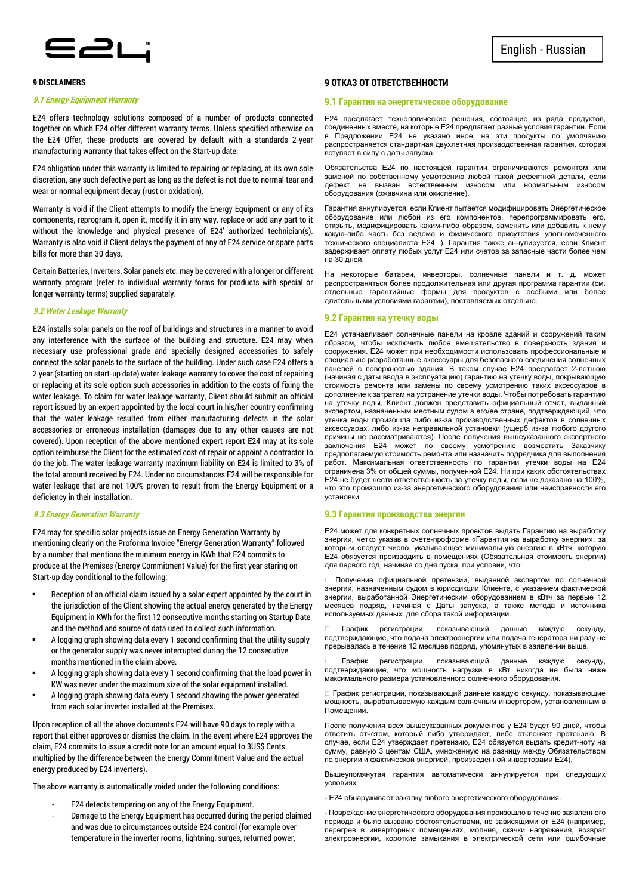

## **9 DISCLAIMERS**

## **9.1 Energy Equipment Warranty**

E24 offers technology solutions composed of a number of products connected together on which E24 offer different warranty terms. Unless specified otherwise on the E24 Offer, these products are covered by default with a standards 2-year manufacturing warranty that takes effect on the Start-up date.

E24 obligation under this warranty is limited to repairing or replacing, at its own sole discretion, any such defective part as long as the defect is not due to normal tear and wear or normal equipment decay (rust or oxidation).

Warranty is void if the Client attempts to modify the Energy Equipment or any of its components, reprogram it, open it, modify it in any way, replace or add any part to it without the knowledge and physical presence of E24' authorized technician(s). Warranty is also void if Client delays the payment of any of E24 service or spare parts bills for more than 30 days.

Certain Batteries, Inverters, Solar panels etc. may be covered with a longer or different warranty program (refer to individual warranty forms for products with special or longer warranty terms) supplied separately.

## **9.2 Water Leakage Warranty**

E24 installs solar panels on the roof of buildings and structures in a manner to avoid any interference with the surface of the building and structure. E24 may when necessary use professional grade and specially designed accessories to safely connect the solar panels to the surface of the building. Under such case E24 offers a 2 year (starting on start-up date) water leakage warranty to cover the cost of repairing or replacing at its sole option such accessories in addition to the costs of fixing the water leakage. To claim for water leakage warranty, Client should submit an official report issued by an expert appointed by the local court in his/her country confirming that the water leakage resulted from either manufacturing defects in the solar accessories or erroneous installation (damages due to any other causes are not covered). Upon reception of the above mentioned expert report E24 may at its sole option reimburse the Client for the estimated cost of repair or appoint a contractor to do the job. The water leakage warranty maximum liability on E24 is limited to 3% of the total amount received by E24. Under no circumstances E24 will be responsible for water leakage that are not 100% proven to result from the Energy Equipment or a deficiency in their installation.

#### **9.3 Energy Generation Warranty**

E24 may for specific solar projects issue an Energy Generation Warranty by mentioning clearly on the Proforma Invoice "Energy Generation Warranty" followed by a number that mentions the minimum energy in KWh that E24 commits to produce at the Premises (Energy Commitment Value) for the first year staring on Start-up day conditional to the following:

- Reception of an official claim issued by a solar expert appointed by the court in the jurisdiction of the Client showing the actual energy generated by the Energy Equipment in KWh for the first 12 consecutive months starting on Startup Date and the method and source of data used to collect such information.
- A logging graph showing data every 1 second confirming that the utility supply or the generator supply was never interrupted during the 12 consecutive months mentioned in the claim above.
- A logging graph showing data every 1 second confirming that the load power in KW was never under the maximum size of the solar equipment installed.
- A logging graph showing data every 1 second showing the power generated from each solar inverter installed at the Premises.

Upon reception of all the above documents E24 will have 90 days to reply with a report that either approves or dismiss the claim. In the event where E24 approves the claim, E24 commits to issue a credit note for an amount equal to 3US\$ Cents multiplied by the difference between the Energy Commitment Value and the actual energy produced by E24 inverters).

The above warranty is automatically voided under the following conditions:

- E24 detects tempering on any of the Energy Equipment.
- Damage to the Energy Equipment has occurred during the period claimed and was due to circumstances outside E24 control (for example over temperature in the inverter rooms, lightning, surges, returned power,

## **9 ОТКАЗ ОТ ОТВЕТСТВЕННОСТИ**

## **9.1 Гарантия на энергетическое оборудование**

E24 предлагает технологические решения, состоящие из ряда продуктов, соединенных вместе, на которые E24 предлагает разные условия гарантии. Если в Предложении E24 не указано иное, на эти продукты по умолчанию распространяется стандартная двухлетняя производственная гарантия, которая вступает в силу с даты запуска.

Обязательства E24 по настоящей гарантии ограничиваются ремонтом или заменой по собственному усмотрению любой такой дефектной детали, если дефект не вызван естественным износом или нормальным износом оборудования (ржавчина или окисление).

Гарантия аннулируется, если Клиент пытается модифицировать Энергетическое оборудование или любой из его компонентов, перепрограммировать его, открыть, модифицировать каким-либо образом, заменить или добавить к нему какую-либо часть без ведома и физического присутствия уполномоченного технического специалиста E24. ). Гарантия также аннулируется, если Клиент задерживает оплату любых услуг E24 или счетов за запасные части более чем на 30 дней.

На некоторые батареи, инверторы, солнечные панели и т. д. может распространяться более продолжительная или другая программа гарантии (см. отдельные гарантийные формы для продуктов с особыми или более длительными условиями гарантии), поставляемых отдельно.

### **9.2 Гарантия на утечку воды**

E24 устанавливает солнечные панели на кровле зданий и сооружений таким образом, чтобы исключить любое вмешательство в поверхность здания и сооружения. E24 может при необходимости использовать профессиональные и специально разработанные аксессуары для безопасного соединения солнечных панелей с поверхностью здания. В таком случае E24 предлагает 2-летнюю (начиная с даты ввода в эксплуатацию) гарантию на утечку воды, покрывающую стоимость ремонта или замены по своему усмотрению таких аксессуаров в дополнение к затратам на устранение утечки воды. Чтобы потребовать гарантию на утечку воды, Клиент должен представить официальный отчет, выданный экспертом, назначенным местным судом в его/ее стране, подтверждающий, что утечка воды произошла либо из-за производственных дефектов в солнечных аксессуарах, либо из-за неправильной установки (ущерб из-за любого другого причины не рассматриваются). После получения вышеуказанного экспертного заключения Е24 может по своему усмотрению возместить Заказчику предполагаемую стоимость ремонта или назначить подрядчика для выполнения работ. Максимальная ответственность по гарантии утечки воды на E24 ограничена 3% от общей суммы, полученной E24. Ни при каких обстоятельствах E24 не будет нести ответственность за утечку воды, если не доказано на 100%, что это произошло из-за энергетического оборудования или неисправности его установки.

#### **9.3 Гарантия производства энергии**

E24 может для конкретных солнечных проектов выдать Гарантию на выработку энергии, четко указав в счете-проформе «Гарантия на выработку энергии», за которым следует число, указывающее минимальную энергию в кВтч, которую E24 обязуется производить в помещениях (Обязательная стоимость энергии) для первого год, начиная со дня пуска, при условии, что:

 Получение официальной претензии, выданной экспертом по солнечной энергии, назначенным судом в юрисдикции Клиента, с указанием фактической энергии, выработанной Энергетическим оборудованием в кВтч за первые 12 месяцев подряд, начиная с Даты запуска, а также метода и источника используемых данных. для сбора такой информации.

 График регистрации, показывающий данные каждую секунду, подтверждающие, что подача электроэнергии или подача генератора ни разу не прерывалась в течение 12 месяцев подряд, упомянутых в заявлении выше.

 График регистрации, показывающий данные каждую секунду, подтверждающие, что мощность нагрузки в кВт никогда не была ниже максимального размера установленного солнечного оборудования.

 График регистрации, показывающий данные каждую секунду, показывающие мощность, вырабатываемую каждым солнечным инвертором, установленным в Помещении.

После получения всех вышеуказанных документов у E24 будет 90 дней, чтобы ответить отчетом, который либо утверждает, либо отклоняет претензию. В случае, если E24 утверждает претензию, E24 обязуется выдать кредит-ноту на сумму, равную 3 центам США, умноженную на разницу между Обязательством по энергии и фактической энергией, произведенной инверторами E24).

Вышеупомянутая гарантия автоматически аннулируется при следующих условиях:

- E24 обнаруживает закалку любого энергетического оборудования.

- Повреждение энергетического оборудования произошло в течение заявленного периода и было вызвано обстоятельствами, не зависящими от E24 (например, перегрев в инверторных помещениях, молния, скачки напряжения, возврат электроэнергии, короткие замыкания в электрической сети или ошибочные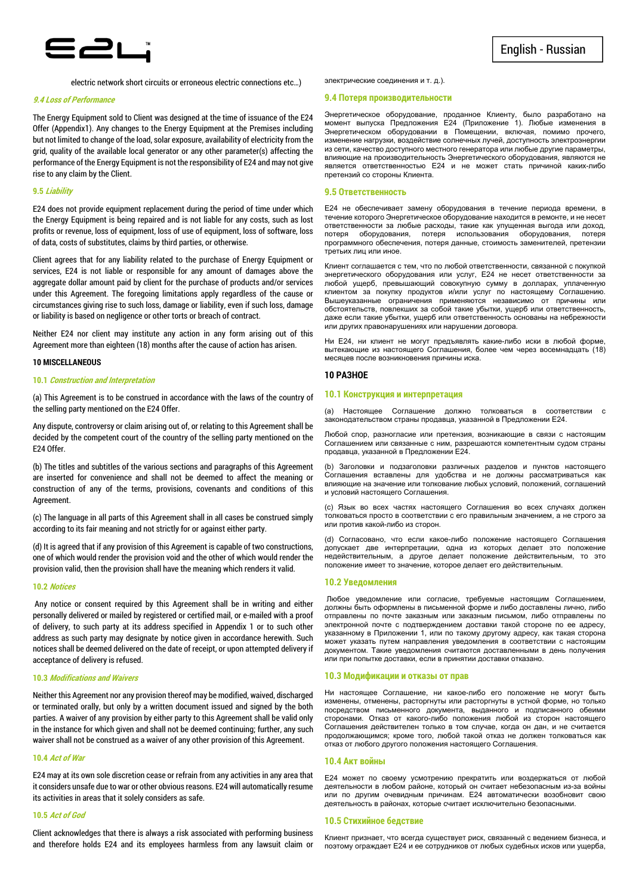

electric network short circuits or erroneous electric connections etc…)

#### **9.4 Loss of Performance**

The Energy Equipment sold to Client was designed at the time of issuance of the E24 Offer (Appendix1). Any changes to the Energy Equipment at the Premises including but not limited to change of the load, solar exposure, availability of electricity from the grid, quality of the available local generator or any other parameter(s) affecting the performance of the Energy Equipment is not the responsibility of E24 and may not give rise to any claim by the Client.

#### **9.5 Liability**

E24 does not provide equipment replacement during the period of time under which the Energy Equipment is being repaired and is not liable for any costs, such as lost profits or revenue, loss of equipment, loss of use of equipment, loss of software, loss of data, costs of substitutes, claims by third parties, or otherwise.

Client agrees that for any liability related to the purchase of Energy Equipment or services, E24 is not liable or responsible for any amount of damages above the aggregate dollar amount paid by client for the purchase of products and/or services under this Agreement. The foregoing limitations apply regardless of the cause or circumstances giving rise to such loss, damage or liability, even if such loss, damage or liability is based on negligence or other torts or breach of contract.

Neither E24 nor client may institute any action in any form arising out of this Agreement more than eighteen (18) months after the cause of action has arisen.

#### **10 MISCELLANEOUS**

#### **10.1 Construction and Interpretation**

(a) This Agreement is to be construed in accordance with the laws of the country of the selling party mentioned on the E24 Offer.

Any dispute, controversy or claim arising out of, or relating to this Agreement shall be decided by the competent court of the country of the selling party mentioned on the E24 Offer.

(b) The titles and subtitles of the various sections and paragraphs of this Agreement are inserted for convenience and shall not be deemed to affect the meaning or construction of any of the terms, provisions, covenants and conditions of this Agreement.

(c) The language in all parts of this Agreement shall in all cases be construed simply according to its fair meaning and not strictly for or against either party.

(d) It is agreed that if any provision of this Agreement is capable of two constructions, one of which would render the provision void and the other of which would render the provision valid, then the provision shall have the meaning which renders it valid.

#### **10.2 Notices**

 Any notice or consent required by this Agreement shall be in writing and either personally delivered or mailed by registered or certified mail, or e-mailed with a proof of delivery, to such party at its address specified in Appendix 1 or to such other address as such party may designate by notice given in accordance herewith. Such notices shall be deemed delivered on the date of receipt, or upon attempted delivery if acceptance of delivery is refused.

## **10.3 Modifications and Waivers**

Neither this Agreement nor any provision thereof may be modified, waived, discharged or terminated orally, but only by a written document issued and signed by the both parties. A waiver of any provision by either party to this Agreement shall be valid only in the instance for which given and shall not be deemed continuing; further, any such waiver shall not be construed as a waiver of any other provision of this Agreement.

#### **10.4 Act of War**

E24 may at its own sole discretion cease or refrain from any activities in any area that it considers unsafe due to war or other obvious reasons. E24 will automatically resume its activities in areas that it solely considers as safe.

#### **10.5 Act of God**

Client acknowledges that there is always a risk associated with performing business and therefore holds E24 and its employees harmless from any lawsuit claim or электрические соединения и т. д.).

#### **9.4 Потеря производительности**

Энергетическое оборудование, проданное Клиенту, было разработано на момент выпуска Предложения E24 (Приложение 1). Любые изменения в Энергетическом оборудовании в Помещении, включая, помимо прочего, изменение нагрузки, воздействие солнечных лучей, доступность электроэнергии из сети, качество доступного местного генератора или любые другие параметры, влияющие на производительность Энергетического оборудования, являются не является ответственностью E24 и не может стать причиной каких-либо претензий со стороны Клиента.

#### **9.5 Ответственность**

E24 не обеспечивает замену оборудования в течение периода времени, в течение которого Энергетическое оборудование находится в ремонте, и не несет ответственности за любые расходы, такие как упущенная выгода или доход, потеря оборудования, потеря использования оборудования, потеря программного обеспечения, потеря данные, стоимость заменителей, претензии третьих лиц или иное.

Клиент соглашается с тем, что по любой ответственности, связанной с покупкой энергетического оборудования или услуг, E24 не несет ответственности за любой ущерб, превышающий совокупную сумму в долларах, уплаченную клиентом за покупку продуктов и/или услуг по настоящему Соглашению. Вышеуказанные ограничения применяются независимо от причины или обстоятельств, повлекших за собой такие убытки, ущерб или ответственность, даже если такие убытки, ущерб или ответственность основаны на небрежности или других правонарушениях или нарушении договора.

Ни E24, ни клиент не могут предъявлять какие-либо иски в любой форме, вытекающие из настоящего Соглашения, более чем через восемнадцать (18) месяцев после возникновения причины иска.

#### **10 РАЗНОЕ**

## **10.1 Конструкция и интерпретация**

(а) Настоящее Соглашение должно толковаться в соответствии законодательством страны продавца, указанной в Предложении E24.

Любой спор, разногласие или претензия, возникающие в связи с настоящим Соглашением или связанные с ним, разрешаются компетентным судом страны продавца, указанной в Предложении E24.

(b) Заголовки и подзаголовки различных разделов и пунктов настоящего Соглашения вставлены для удобства и не должны рассматриваться как влияющие на значение или толкование любых условий, положений, соглашений и условий настоящего Соглашения.

(c) Язык во всех частях настоящего Соглашения во всех случаях должен толковаться просто в соответствии с его правильным значением, а не строго за или против какой-либо из сторон.

(d) Согласовано, что если какое-либо положение настоящего Соглашения допускает две интерпретации, одна из которых делает это положение недействительным, а другое делает положение действительным, то это положение имеет то значение, которое делает его действительным.

#### **10.2 Уведомления**

 Любое уведомление или согласие, требуемые настоящим Соглашением, должны быть оформлены в письменной форме и либо доставлены лично, либо отправлены по почте заказным или заказным письмом, либо отправлены по электронной почте с подтверждением доставки такой стороне по ее адресу, указанному в Приложении 1, или по такому другому адресу, как такая сторона может указать путем направления уведомления в соответствии с настоящим документом. Такие уведомления считаются доставленными в день получения или при попытке доставки, если в принятии доставки отказано.

#### **10.3 Модификации и отказы от прав**

Ни настоящее Соглашение, ни какое-либо его положение не могут быть изменены, отменены, расторгнуты или расторгнуты в устной форме, но только посредством письменного документа, выданного и подписанного обеими сторонами. Отказ от какого-либо положения любой из сторон настоящего Соглашения действителен только в том случае, когда он дан, и не считается продолжающимся; кроме того, любой такой отказ не должен толковаться как отказ от любого другого положения настоящего Соглашения.

## **10.4 Акт войны**

E24 может по своему усмотрению прекратить или воздержаться от любой деятельности в любом районе, который он считает небезопасным из-за войны или по другим очевидным причинам. E24 автоматически возобновит свою деятельность в районах, которые считает исключительно безопасными.

#### **10.5 Стихийное бедствие**

Клиент признает, что всегда существует риск, связанный с ведением бизнеса, и поэтому ограждает E24 и ее сотрудников от любых судебных исков или ущерба,